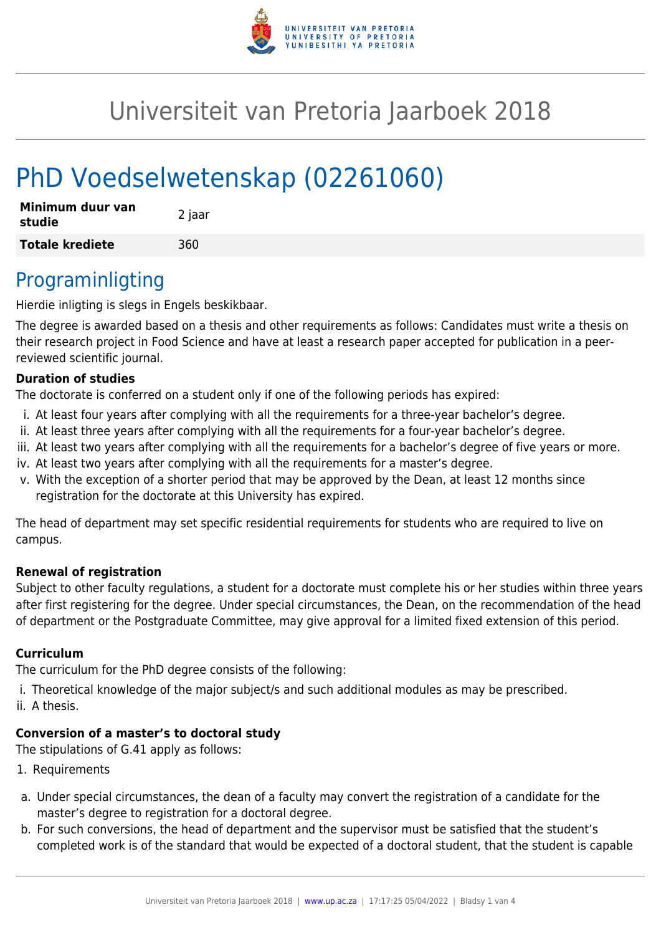

# Universiteit van Pretoria Jaarboek 2018

# PhD Voedselwetenskap (02261060)

| Minimum duur van<br>studie | 2 jaar |
|----------------------------|--------|
| <b>Totale krediete</b>     | 360    |

## Programinligting

Hierdie inligting is slegs in Engels beskikbaar.

The degree is awarded based on a thesis and other requirements as follows: Candidates must write a thesis on their research project in Food Science and have at least a research paper accepted for publication in a peerreviewed scientific journal.

#### **Duration of studies**

The doctorate is conferred on a student only if one of the following periods has expired:

- i. At least four years after complying with all the requirements for a three-year bachelor's degree.
- ii. At least three years after complying with all the requirements for a four-year bachelor's degree.
- iii. At least two years after complying with all the requirements for a bachelor's degree of five years or more.
- iv. At least two years after complying with all the requirements for a master's degree.
- v. With the exception of a shorter period that may be approved by the Dean, at least 12 months since registration for the doctorate at this University has expired.

The head of department may set specific residential requirements for students who are required to live on campus.

#### **Renewal of registration**

Subject to other faculty regulations, a student for a doctorate must complete his or her studies within three years after first registering for the degree. Under special circumstances, the Dean, on the recommendation of the head of department or the Postgraduate Committee, may give approval for a limited fixed extension of this period.

#### **Curriculum**

The curriculum for the PhD degree consists of the following:

i. Theoretical knowledge of the major subject/s and such additional modules as may be prescribed.

ii. A thesis.

### **Conversion of a master's to doctoral study**

The stipulations of G.41 apply as follows:

- 1. Requirements
- a. Under special circumstances, the dean of a faculty may convert the registration of a candidate for the master's degree to registration for a doctoral degree.
- b. For such conversions, the head of department and the supervisor must be satisfied that the student's completed work is of the standard that would be expected of a doctoral student, that the student is capable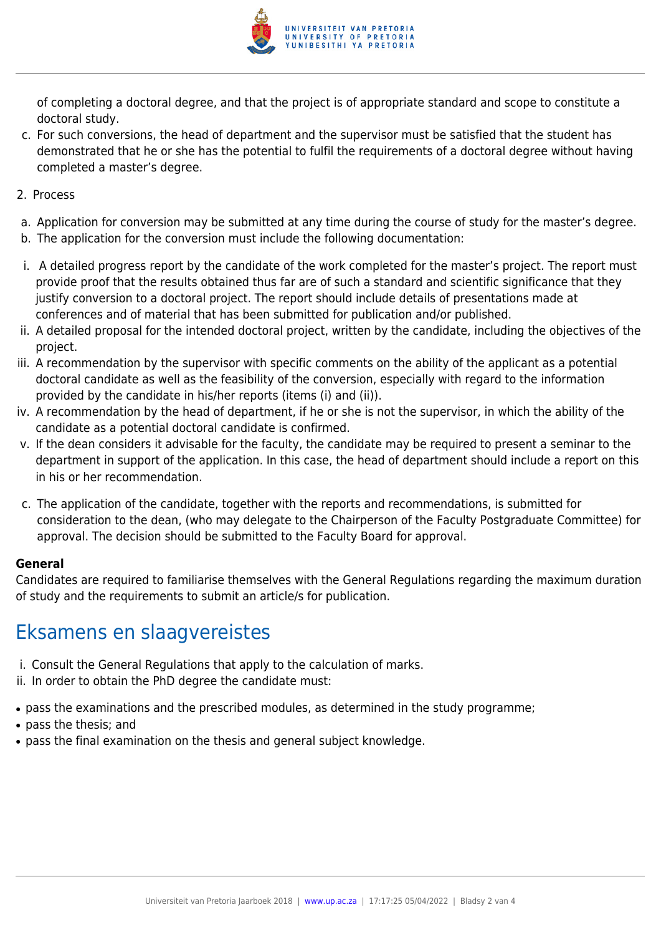

of completing a doctoral degree, and that the project is of appropriate standard and scope to constitute a doctoral study.

- c. For such conversions, the head of department and the supervisor must be satisfied that the student has demonstrated that he or she has the potential to fulfil the requirements of a doctoral degree without having completed a master's degree.
- 2. Process
- a. Application for conversion may be submitted at any time during the course of study for the master's degree.
- b. The application for the conversion must include the following documentation:
- i. A detailed progress report by the candidate of the work completed for the master's project. The report must provide proof that the results obtained thus far are of such a standard and scientific significance that they justify conversion to a doctoral project. The report should include details of presentations made at conferences and of material that has been submitted for publication and/or published.
- ii. A detailed proposal for the intended doctoral project, written by the candidate, including the objectives of the project.
- iii. A recommendation by the supervisor with specific comments on the ability of the applicant as a potential doctoral candidate as well as the feasibility of the conversion, especially with regard to the information provided by the candidate in his/her reports (items (i) and (ii)).
- iv. A recommendation by the head of department, if he or she is not the supervisor, in which the ability of the candidate as a potential doctoral candidate is confirmed.
- v. If the dean considers it advisable for the faculty, the candidate may be required to present a seminar to the department in support of the application. In this case, the head of department should include a report on this in his or her recommendation.
- c. The application of the candidate, together with the reports and recommendations, is submitted for consideration to the dean, (who may delegate to the Chairperson of the Faculty Postgraduate Committee) for approval. The decision should be submitted to the Faculty Board for approval.

#### **General**

Candidates are required to familiarise themselves with the General Regulations regarding the maximum duration of study and the requirements to submit an article/s for publication.

## Eksamens en slaagvereistes

- i. Consult the General Regulations that apply to the calculation of marks.
- ii. In order to obtain the PhD degree the candidate must:
- pass the examinations and the prescribed modules, as determined in the study programme;
- pass the thesis; and
- pass the final examination on the thesis and general subject knowledge.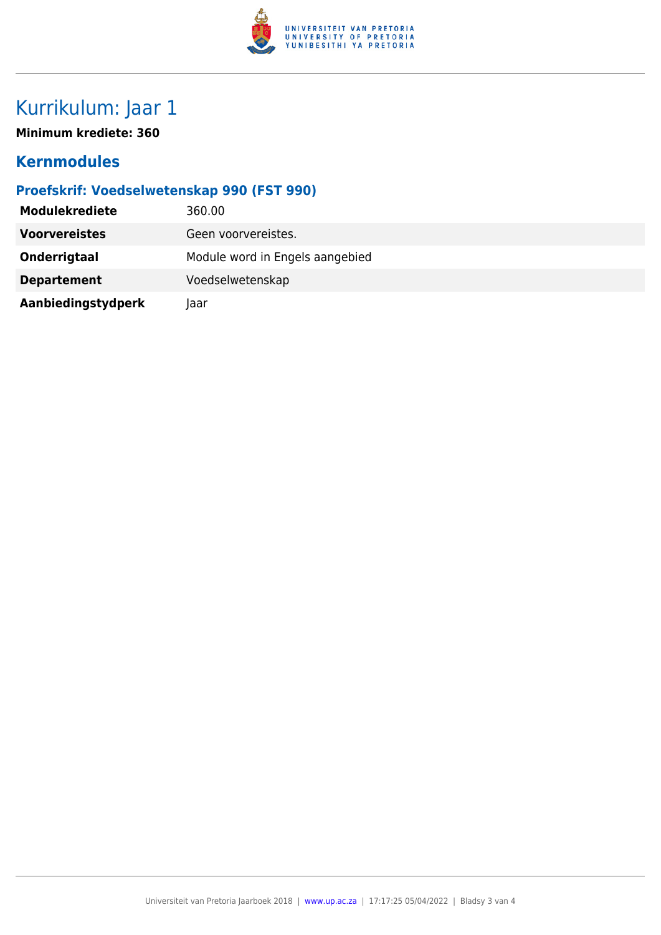

# Kurrikulum: Jaar 1

**Minimum krediete: 360**

### **Kernmodules**

### **Proefskrif: Voedselwetenskap 990 (FST 990)**

| <b>Modulekrediete</b> | 360.00                          |
|-----------------------|---------------------------------|
| <b>Voorvereistes</b>  | Geen voorvereistes.             |
| Onderrigtaal          | Module word in Engels aangebied |
| <b>Departement</b>    | Voedselwetenskap                |
| Aanbiedingstydperk    | laar                            |